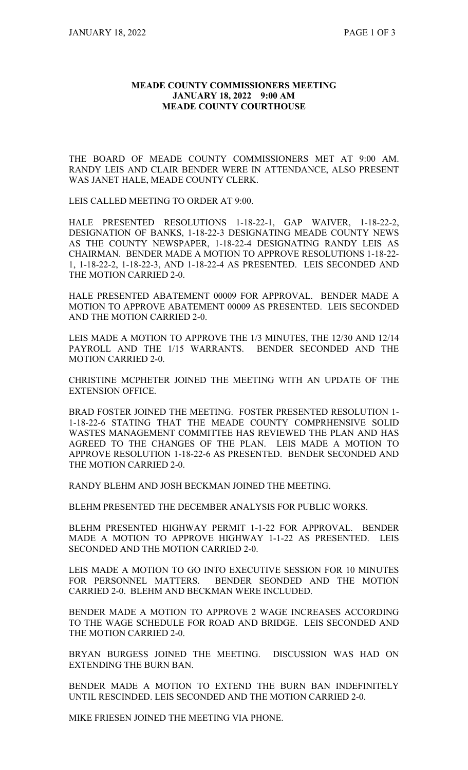## **MEADE COUNTY COMMISSIONERS MEETING JANUARY 18, 2022 9:00 AM MEADE COUNTY COURTHOUSE**

THE BOARD OF MEADE COUNTY COMMISSIONERS MET AT 9:00 AM. RANDY LEIS AND CLAIR BENDER WERE IN ATTENDANCE, ALSO PRESENT WAS JANET HALE, MEADE COUNTY CLERK.

LEIS CALLED MEETING TO ORDER AT 9:00.

HALE PRESENTED RESOLUTIONS 1-18-22-1, GAP WAIVER, 1-18-22-2, DESIGNATION OF BANKS, 1-18-22-3 DESIGNATING MEADE COUNTY NEWS AS THE COUNTY NEWSPAPER, 1-18-22-4 DESIGNATING RANDY LEIS AS CHAIRMAN. BENDER MADE A MOTION TO APPROVE RESOLUTIONS 1-18-22- 1, 1-18-22-2, 1-18-22-3, AND 1-18-22-4 AS PRESENTED. LEIS SECONDED AND THE MOTION CARRIED 2-0.

HALE PRESENTED ABATEMENT 00009 FOR APPROVAL. BENDER MADE A MOTION TO APPROVE ABATEMENT 00009 AS PRESENTED. LEIS SECONDED AND THE MOTION CARRIED 2-0.

LEIS MADE A MOTION TO APPROVE THE 1/3 MINUTES, THE 12/30 AND 12/14 PAYROLL AND THE 1/15 WARRANTS. BENDER SECONDED AND THE MOTION CARRIED 2-0.

CHRISTINE MCPHETER JOINED THE MEETING WITH AN UPDATE OF THE EXTENSION OFFICE.

BRAD FOSTER JOINED THE MEETING. FOSTER PRESENTED RESOLUTION 1- 1-18-22-6 STATING THAT THE MEADE COUNTY COMPRHENSIVE SOLID WASTES MANAGEMENT COMMITTEE HAS REVIEWED THE PLAN AND HAS AGREED TO THE CHANGES OF THE PLAN. LEIS MADE A MOTION TO APPROVE RESOLUTION 1-18-22-6 AS PRESENTED. BENDER SECONDED AND THE MOTION CARRIED 2-0.

RANDY BLEHM AND JOSH BECKMAN JOINED THE MEETING.

BLEHM PRESENTED THE DECEMBER ANALYSIS FOR PUBLIC WORKS.

BLEHM PRESENTED HIGHWAY PERMIT 1-1-22 FOR APPROVAL. BENDER MADE A MOTION TO APPROVE HIGHWAY 1-1-22 AS PRESENTED. LEIS SECONDED AND THE MOTION CARRIED 2-0.

LEIS MADE A MOTION TO GO INTO EXECUTIVE SESSION FOR 10 MINUTES FOR PERSONNEL MATTERS. BENDER SEONDED AND THE MOTION CARRIED 2-0. BLEHM AND BECKMAN WERE INCLUDED.

BENDER MADE A MOTION TO APPROVE 2 WAGE INCREASES ACCORDING TO THE WAGE SCHEDULE FOR ROAD AND BRIDGE. LEIS SECONDED AND THE MOTION CARRIED 2-0.

BRYAN BURGESS JOINED THE MEETING. DISCUSSION WAS HAD ON EXTENDING THE BURN BAN.

BENDER MADE A MOTION TO EXTEND THE BURN BAN INDEFINITELY UNTIL RESCINDED. LEIS SECONDED AND THE MOTION CARRIED 2-0.

MIKE FRIESEN JOINED THE MEETING VIA PHONE.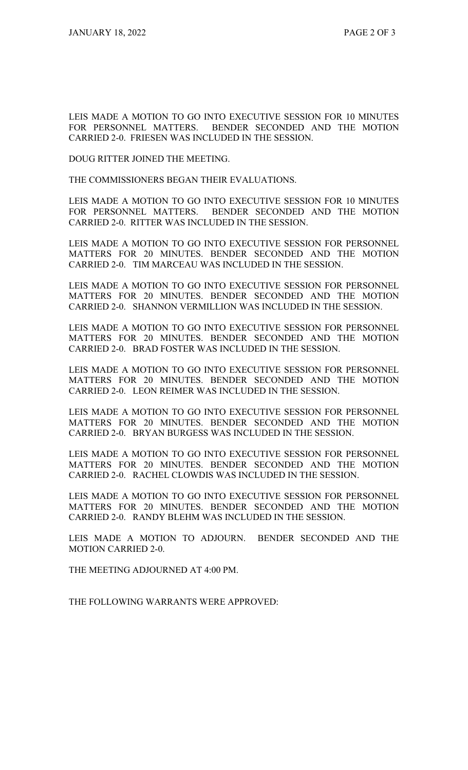LEIS MADE A MOTION TO GO INTO EXECUTIVE SESSION FOR 10 MINUTES FOR PERSONNEL MATTERS. BENDER SECONDED AND THE MOTION CARRIED 2-0. FRIESEN WAS INCLUDED IN THE SESSION.

DOUG RITTER JOINED THE MEETING.

THE COMMISSIONERS BEGAN THEIR EVALUATIONS.

LEIS MADE A MOTION TO GO INTO EXECUTIVE SESSION FOR 10 MINUTES FOR PERSONNEL MATTERS. BENDER SECONDED AND THE MOTION CARRIED 2-0. RITTER WAS INCLUDED IN THE SESSION.

LEIS MADE A MOTION TO GO INTO EXECUTIVE SESSION FOR PERSONNEL MATTERS FOR 20 MINUTES. BENDER SECONDED AND THE MOTION CARRIED 2-0. TIM MARCEAU WAS INCLUDED IN THE SESSION.

LEIS MADE A MOTION TO GO INTO EXECUTIVE SESSION FOR PERSONNEL MATTERS FOR 20 MINUTES. BENDER SECONDED AND THE MOTION CARRIED 2-0. SHANNON VERMILLION WAS INCLUDED IN THE SESSION.

LEIS MADE A MOTION TO GO INTO EXECUTIVE SESSION FOR PERSONNEL MATTERS FOR 20 MINUTES. BENDER SECONDED AND THE MOTION CARRIED 2-0. BRAD FOSTER WAS INCLUDED IN THE SESSION.

LEIS MADE A MOTION TO GO INTO EXECUTIVE SESSION FOR PERSONNEL MATTERS FOR 20 MINUTES. BENDER SECONDED AND THE MOTION CARRIED 2-0. LEON REIMER WAS INCLUDED IN THE SESSION.

LEIS MADE A MOTION TO GO INTO EXECUTIVE SESSION FOR PERSONNEL MATTERS FOR 20 MINUTES. BENDER SECONDED AND THE MOTION CARRIED 2-0. BRYAN BURGESS WAS INCLUDED IN THE SESSION.

LEIS MADE A MOTION TO GO INTO EXECUTIVE SESSION FOR PERSONNEL MATTERS FOR 20 MINUTES. BENDER SECONDED AND THE MOTION CARRIED 2-0. RACHEL CLOWDIS WAS INCLUDED IN THE SESSION.

LEIS MADE A MOTION TO GO INTO EXECUTIVE SESSION FOR PERSONNEL MATTERS FOR 20 MINUTES. BENDER SECONDED AND THE MOTION CARRIED 2-0. RANDY BLEHM WAS INCLUDED IN THE SESSION.

LEIS MADE A MOTION TO ADJOURN. BENDER SECONDED AND THE MOTION CARRIED 2-0.

THE MEETING ADJOURNED AT 4:00 PM.

THE FOLLOWING WARRANTS WERE APPROVED: